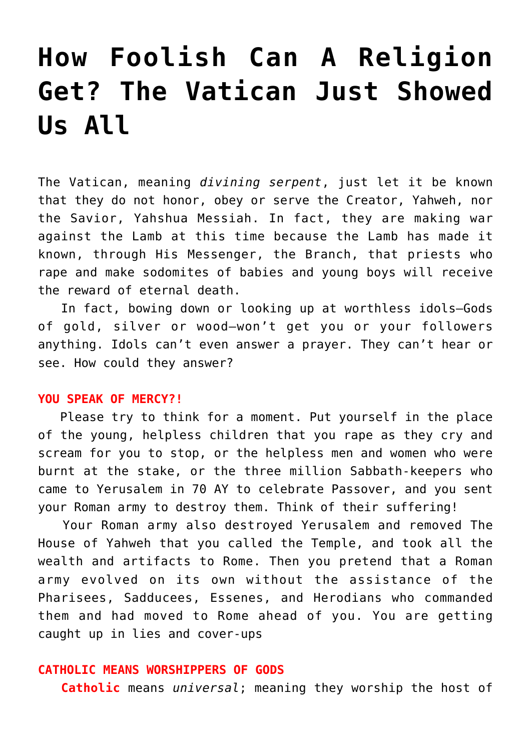# **[How Foolish Can A Religion](https://yahwehsbranch.com/how-foolish-can-a-religion-get-the-vatican-just-showed-us-all/) [Get? The Vatican Just Showed](https://yahwehsbranch.com/how-foolish-can-a-religion-get-the-vatican-just-showed-us-all/) [Us All](https://yahwehsbranch.com/how-foolish-can-a-religion-get-the-vatican-just-showed-us-all/)**

The Vatican, meaning *divining serpent*, just let it be known that they do not honor, obey or serve the Creator, Yahweh, nor the Savior, Yahshua Messiah. In fact, they are making war against the Lamb at this time because the Lamb has made it known, through His Messenger, the Branch, that priests who rape and make sodomites of babies and young boys will receive the reward of eternal death.

 In fact, bowing down or looking up at worthless idols–Gods of gold, silver or wood–won't get you or your followers anything. Idols can't even answer a prayer. They can't hear or see. How could they answer?

#### **YOU SPEAK OF MERCY?!**

 Please try to think for a moment. Put yourself in the place of the young, helpless children that you rape as they cry and scream for you to stop, or the helpless men and women who were burnt at the stake, or the three million Sabbath-keepers who came to Yerusalem in 70 AY to celebrate Passover, and you sent your Roman army to destroy them. Think of their suffering!

 Your Roman army also destroyed Yerusalem and removed The House of Yahweh that you called the Temple, and took all the wealth and artifacts to Rome. Then you pretend that a Roman army evolved on its own without the assistance of the Pharisees, Sadducees, Essenes, and Herodians who commanded them and had moved to Rome ahead of you. You are getting caught up in lies and cover-ups

# **CATHOLIC MEANS WORSHIPPERS OF GODS**

**Catholic** means *universal*; meaning they worship the host of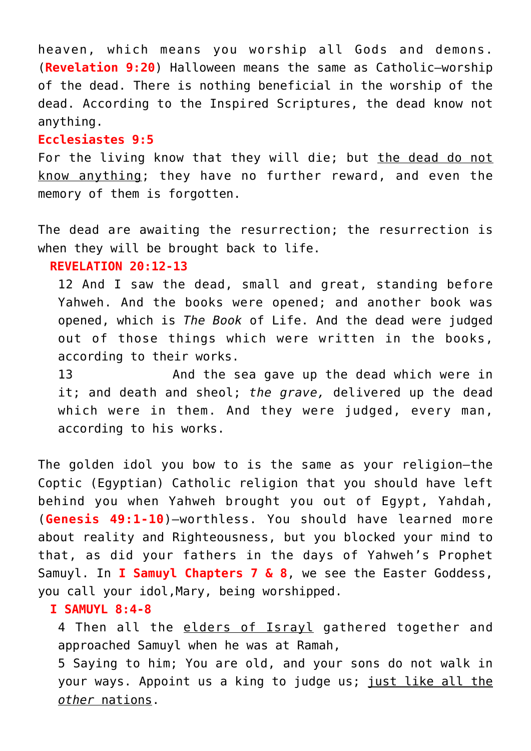heaven, which means you worship all Gods and demons. (**Revelation 9:20**) Halloween means the same as Catholic—worship of the dead. There is nothing beneficial in the worship of the dead. According to the Inspired Scriptures, the dead know not anything.

## **Ecclesiastes 9:5**

For the living know that they will die; but the dead do not know anything; they have no further reward, and even the memory of them is forgotten.

The dead are awaiting the resurrection; the resurrection is when they will be brought back to life.

# **REVELATION 20:12-13**

12 And I saw the dead, small and great, standing before Yahweh. And the books were opened; and another book was opened, which is *The Book* of Life. And the dead were judged out of those things which were written in the books, according to their works.

13 And the sea gave up the dead which were in it; and death and sheol; *the grave,* delivered up the dead which were in them. And they were judged, every man, according to his works.

The golden idol you bow to is the same as your religion–the Coptic (Egyptian) Catholic religion that you should have left behind you when Yahweh brought you out of Egypt, Yahdah, (**Genesis 49:1-10**)–worthless. You should have learned more about reality and Righteousness, but you blocked your mind to that, as did your fathers in the days of Yahweh's Prophet Samuyl. In **I Samuyl Chapters 7 & 8**, we see the Easter Goddess, you call your idol,Mary, being worshipped.

# **I SAMUYL 8:4-8**

4 Then all the elders of Israyl gathered together and approached Samuyl when he was at Ramah,

5 Saying to him; You are old, and your sons do not walk in your ways. Appoint us a king to judge us; just like all the *other* nations.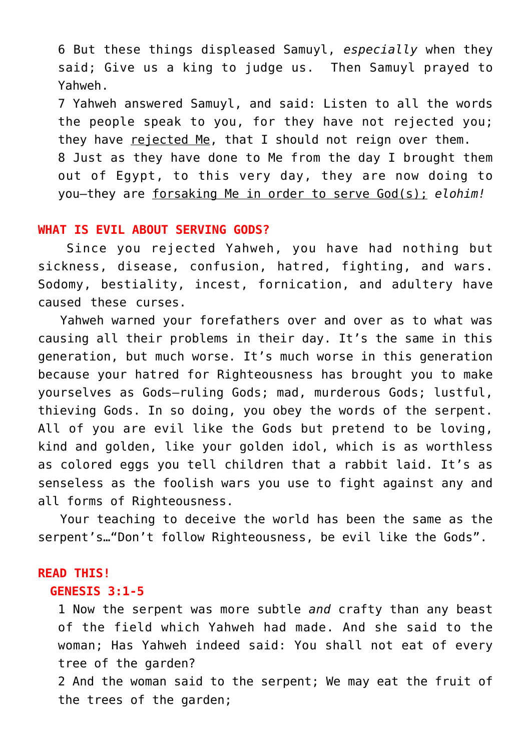6 But these things displeased Samuyl, *especially* when they said; Give us a king to judge us. Then Samuyl prayed to Yahweh.

7 Yahweh answered Samuyl, and said: Listen to all the words the people speak to you, for they have not rejected you; they have rejected Me, that I should not reign over them. 8 Just as they have done to Me from the day I brought them out of Egypt, to this very day, they are now doing to you—they are forsaking Me in order to serve God(s); *elohim!*

#### **WHAT IS EVIL ABOUT SERVING GODS?**

 Since you rejected Yahweh, you have had nothing but sickness, disease, confusion, hatred, fighting, and wars. Sodomy, bestiality, incest, fornication, and adultery have caused these curses.

 Yahweh warned your forefathers over and over as to what was causing all their problems in their day. It's the same in this generation, but much worse. It's much worse in this generation because your hatred for Righteousness has brought you to make yourselves as Gods–ruling Gods; mad, murderous Gods; lustful, thieving Gods. In so doing, you obey the words of the serpent. All of you are evil like the Gods but pretend to be loving, kind and golden, like your golden idol, which is as worthless as colored eggs you tell children that a rabbit laid. It's as senseless as the foolish wars you use to fight against any and all forms of Righteousness.

 Your teaching to deceive the world has been the same as the serpent's…"Don't follow Righteousness, be evil like the Gods".

#### **READ THIS!**

## **GENESIS 3:1-5**

1 Now the serpent was more subtle *and* crafty than any beast of the field which Yahweh had made. And she said to the woman; Has Yahweh indeed said: You shall not eat of every tree of the garden?

2 And the woman said to the serpent; We may eat the fruit of the trees of the garden;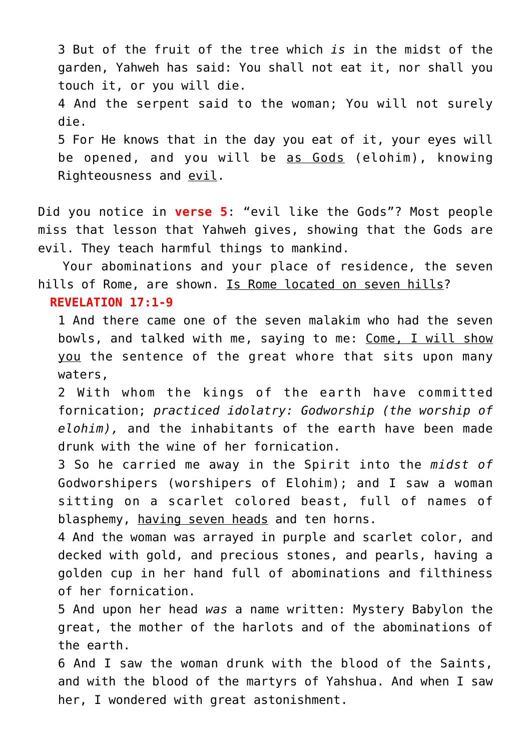3 But of the fruit of the tree which *is* in the midst of the garden, Yahweh has said: You shall not eat it, nor shall you touch it, or you will die. 4 And the serpent said to the woman; You will not surely die. 5 For He knows that in the day you eat of it, your eyes will be opened, and you will be as Gods (elohim), knowing Righteousness and evil.

Did you notice in **verse 5**: "evil like the Gods"? Most people miss that lesson that Yahweh gives, showing that the Gods are evil. They teach harmful things to mankind.

 Your abominations and your place of residence, the seven hills of Rome, are shown. Is Rome located on seven hills?

# **REVELATION 17:1-9**

1 And there came one of the seven malakim who had the seven bowls, and talked with me, saying to me: Come, I will show you the sentence of the great whore that sits upon many waters,

2 With whom the kings of the earth have committed fornication; *practiced idolatry: Godworship (the worship of elohim),* and the inhabitants of the earth have been made drunk with the wine of her fornication.

3 So he carried me away in the Spirit into the *midst of* Godworshipers (worshipers of Elohim); and I saw a woman sitting on a scarlet colored beast, full of names of blasphemy, having seven heads and ten horns.

4 And the woman was arrayed in purple and scarlet color, and decked with gold, and precious stones, and pearls, having a golden cup in her hand full of abominations and filthiness of her fornication.

5 And upon her head *was* a name written: Mystery Babylon the great, the mother of the harlots and of the abominations of the earth.

6 And I saw the woman drunk with the blood of the Saints, and with the blood of the martyrs of Yahshua. And when I saw her, I wondered with great astonishment.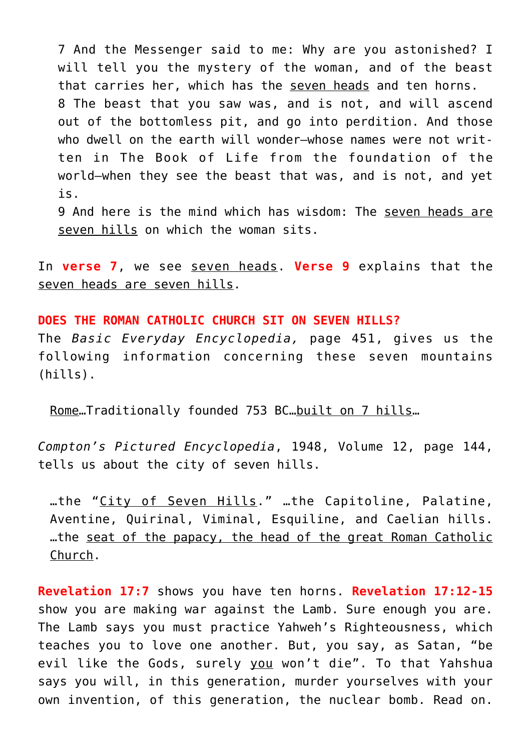7 And the Messenger said to me: Why are you astonished? I will tell you the mystery of the woman, and of the beast that carries her, which has the seven heads and ten horns. 8 The beast that you saw was, and is not, and will ascend out of the bottomless pit, and go into perdition. And those who dwell on the earth will wonder—whose names were not written in The Book of Life from the foundation of the world—when they see the beast that was, and is not, and yet is.

9 And here is the mind which has wisdom: The seven heads are seven hills on which the woman sits.

In **verse 7**, we see seven heads. **Verse 9** explains that the seven heads are seven hills.

**DOES THE ROMAN CATHOLIC CHURCH SIT ON SEVEN HILLS?** The *Basic Everyday Encyclopedia,* page 451, gives us the following information concerning these seven mountains (hills).

Rome…Traditionally founded 753 BC…built on 7 hills…

*Compton's Pictured Encyclopedia*, 1948, Volume 12, page 144, tells us about the city of seven hills.

…the "City of Seven Hills." …the Capitoline, Palatine, Aventine, Quirinal, Viminal, Esquiline, and Caelian hills. …the seat of the papacy, the head of the great Roman Catholic Church.

**Revelation 17:7** shows you have ten horns. **Revelation 17:12-15** show you are making war against the Lamb. Sure enough you are. The Lamb says you must practice Yahweh's Righteousness, which teaches you to love one another. But, you say, as Satan, "be evil like the Gods, surely you won't die". To that Yahshua says you will, in this generation, murder yourselves with your own invention, of this generation, the nuclear bomb. Read on.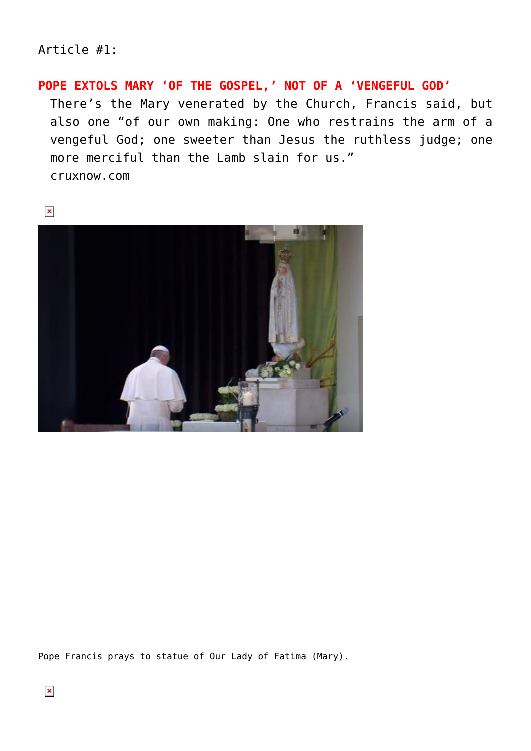# Article #1:

# **POPE EXTOLS MARY 'OF THE GOSPEL,' NOT OF A 'VENGEFUL GOD'**

There's the Mary venerated by the Church, Francis said, but also one "of our own making: One who restrains the arm of a vengeful God; one sweeter than Jesus the ruthless judge; one more merciful than the Lamb slain for us." cruxnow.com



Pope Francis prays to statue of Our Lady of Fatima (Mary).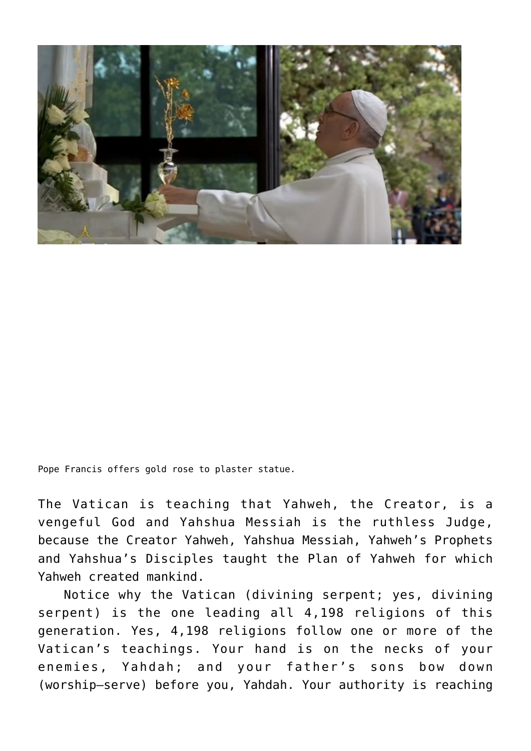

Pope Francis offers gold rose to plaster statue.

The Vatican is teaching that Yahweh, the Creator, is a vengeful God and Yahshua Messiah is the ruthless Judge, because the Creator Yahweh, Yahshua Messiah, Yahweh's Prophets and Yahshua's Disciples taught the Plan of Yahweh for which Yahweh created mankind.

 Notice why the Vatican (divining serpent; yes, divining serpent) is the one leading all 4,198 religions of this generation. Yes, 4,198 religions follow one or more of the Vatican's teachings. Your hand is on the necks of your enemies, Yahdah; and your father's sons bow down (worship–serve) before you, Yahdah. Your authority is reaching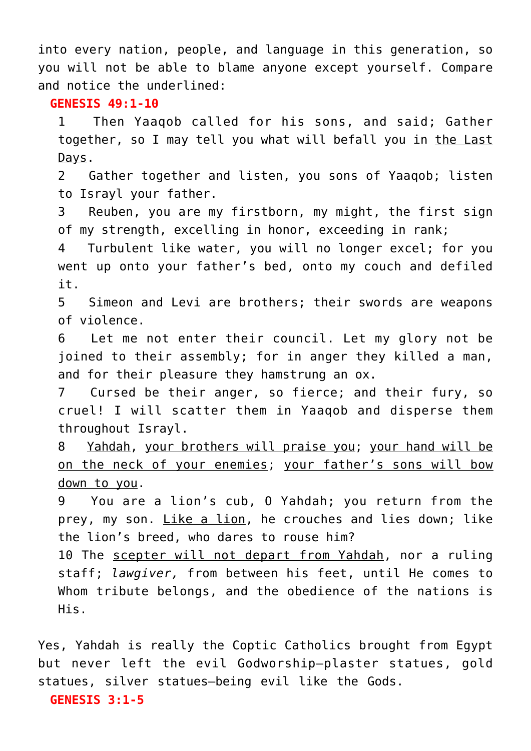into every nation, people, and language in this generation, so you will not be able to blame anyone except yourself. Compare and notice the underlined:

# **GENESIS 49:1-10**

1 Then Yaaqob called for his sons, and said; Gather together, so I may tell you what will befall you in the Last Days.

2 Gather together and listen, you sons of Yaaqob; listen to Israyl your father.

3 Reuben, you are my firstborn, my might, the first sign of my strength, excelling in honor, exceeding in rank;

4 Turbulent like water, you will no longer excel; for you went up onto your father's bed, onto my couch and defiled it.

5 Simeon and Levi are brothers; their swords are weapons of violence.

6 Let me not enter their council. Let my glory not be joined to their assembly; for in anger they killed a man, and for their pleasure they hamstrung an ox.

7 Cursed be their anger, so fierce; and their fury, so cruel! I will scatter them in Yaaqob and disperse them throughout Israyl.

8 Yahdah, your brothers will praise you; your hand will be on the neck of your enemies; your father's sons will bow down to you.

9 You are a lion's cub, O Yahdah; you return from the prey, my son. Like a lion, he crouches and lies down; like the lion's breed, who dares to rouse him?

10 The scepter will not depart from Yahdah, nor a ruling staff; *lawgiver,* from between his feet, until He comes to Whom tribute belongs, and the obedience of the nations is His.

Yes, Yahdah is really the Coptic Catholics brought from Egypt but never left the evil Godworship–plaster statues, gold statues, silver statues–being evil like the Gods. **GENESIS 3:1-5**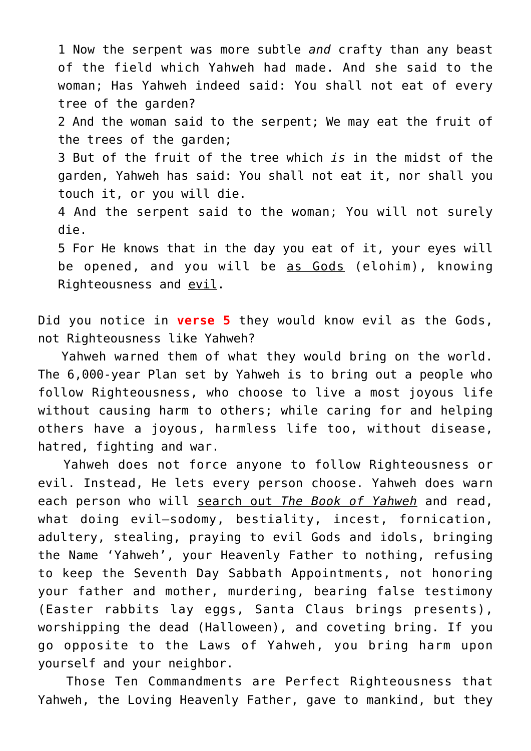1 Now the serpent was more subtle *and* crafty than any beast of the field which Yahweh had made. And she said to the woman; Has Yahweh indeed said: You shall not eat of every tree of the garden?

2 And the woman said to the serpent; We may eat the fruit of the trees of the garden;

3 But of the fruit of the tree which *is* in the midst of the garden, Yahweh has said: You shall not eat it, nor shall you touch it, or you will die.

4 And the serpent said to the woman; You will not surely die.

5 For He knows that in the day you eat of it, your eyes will be opened, and you will be as Gods (elohim), knowing Righteousness and evil.

Did you notice in **verse 5** they would know evil as the Gods, not Righteousness like Yahweh?

 Yahweh warned them of what they would bring on the world. The 6,000-year Plan set by Yahweh is to bring out a people who follow Righteousness, who choose to live a most joyous life without causing harm to others; while caring for and helping others have a joyous, harmless life too, without disease, hatred, fighting and war.

 Yahweh does not force anyone to follow Righteousness or evil. Instead, He lets every person choose. Yahweh does warn each person who will search out *The Book of Yahweh* and read, what doing evil—sodomy, bestiality, incest, fornication, adultery, stealing, praying to evil Gods and idols, bringing the Name 'Yahweh', your Heavenly Father to nothing, refusing to keep the Seventh Day Sabbath Appointments, not honoring your father and mother, murdering, bearing false testimony (Easter rabbits lay eggs, Santa Claus brings presents), worshipping the dead (Halloween), and coveting bring. If you go opposite to the Laws of Yahweh, you bring harm upon yourself and your neighbor.

 Those Ten Commandments are Perfect Righteousness that Yahweh, the Loving Heavenly Father, gave to mankind, but they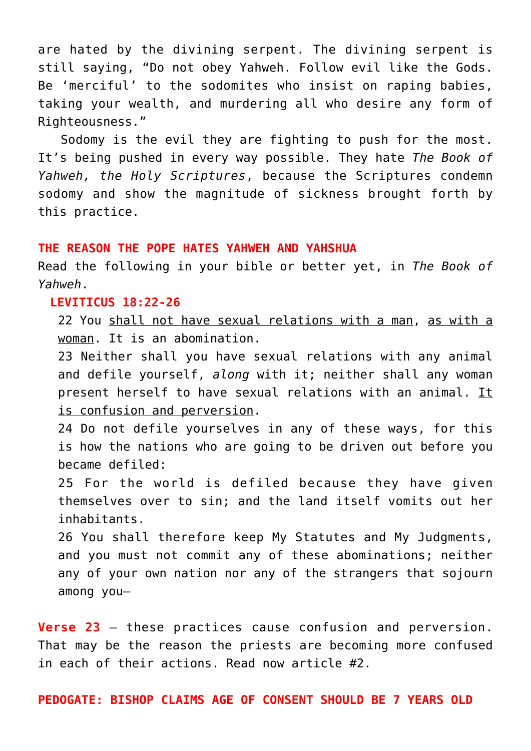are hated by the divining serpent. The divining serpent is still saying, "Do not obey Yahweh. Follow evil like the Gods. Be 'merciful' to the sodomites who insist on raping babies, taking your wealth, and murdering all who desire any form of Righteousness."

 Sodomy is the evil they are fighting to push for the most. It's being pushed in every way possible. They hate *The Book of Yahweh, the Holy Scriptures*, because the Scriptures condemn sodomy and show the magnitude of sickness brought forth by this practice.

#### **THE REASON THE POPE HATES YAHWEH AND YAHSHUA**

Read the following in your bible or better yet, in *The Book of Yahweh*.

## **LEVITICUS 18:22-26**

22 You shall not have sexual relations with a man, as with a woman. It is an abomination.

23 Neither shall you have sexual relations with any animal and defile yourself, *along* with it; neither shall any woman present herself to have sexual relations with an animal. It is confusion and perversion.

24 Do not defile yourselves in any of these ways, for this is how the nations who are going to be driven out before you became defiled:

25 For the world is defiled because they have given themselves over to sin; and the land itself vomits out her inhabitants.

26 You shall therefore keep My Statutes and My Judgments, and you must not commit any of these abominations; neither any of your own nation nor any of the strangers that sojourn among you—

**Verse 23** – these practices cause confusion and perversion. That may be the reason the priests are becoming more confused in each of their actions. Read now article #2.

**PEDOGATE: BISHOP CLAIMS AGE OF CONSENT SHOULD BE 7 YEARS OLD**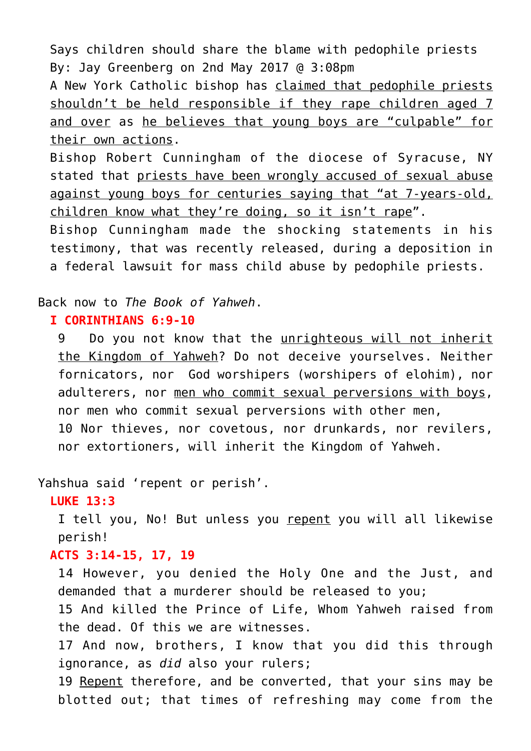Says children should share the blame with pedophile priests By: Jay Greenberg on 2nd May 2017 @ 3:08pm

A New York Catholic bishop has claimed that pedophile priests shouldn't be held responsible if they rape children aged 7 and over as he believes that young boys are "culpable" for their own actions.

Bishop Robert Cunningham of the diocese of Syracuse, NY stated that priests have been wrongly accused of sexual abuse against young boys for centuries saying that "at 7-years-old, children know what they're doing, so it isn't rape".

Bishop Cunningham made the shocking statements in his testimony, that was recently released, during a deposition in a federal lawsuit for mass child abuse by pedophile priests.

Back now to *The Book of Yahweh*.

# **I CORINTHIANS 6:9-10**

9 Do you not know that the unrighteous will not inherit the Kingdom of Yahweh? Do not deceive yourselves. Neither fornicators, nor God worshipers (worshipers of elohim), nor adulterers, nor men who commit sexual perversions with boys, nor men who commit sexual perversions with other men, 10 Nor thieves, nor covetous, nor drunkards, nor revilers, nor extortioners, will inherit the Kingdom of Yahweh.

Yahshua said 'repent or perish'.

#### **LUKE 13:3**

I tell you, No! But unless you repent you will all likewise perish!

# **ACTS 3:14-15, 17, 19**

14 However, you denied the Holy One and the Just, and demanded that a murderer should be released to you;

15 And killed the Prince of Life, Whom Yahweh raised from the dead. Of this we are witnesses.

17 And now, brothers, I know that you did this through ignorance, as *did* also your rulers;

19 Repent therefore, and be converted, that your sins may be blotted out; that times of refreshing may come from the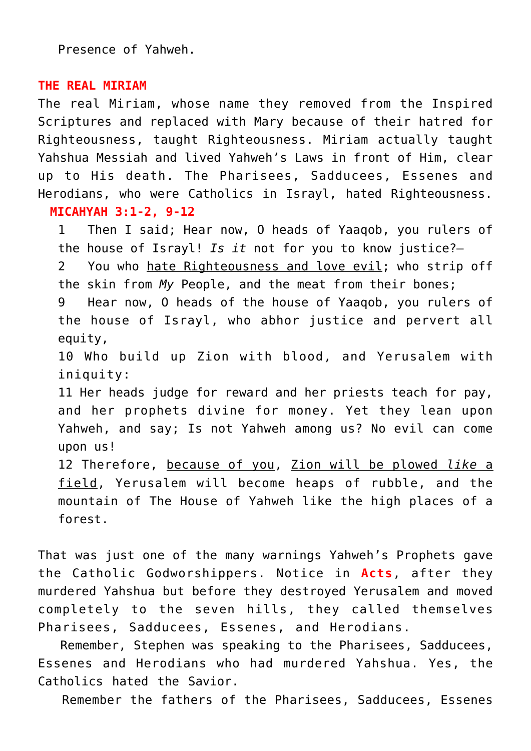Presence of Yahweh.

# **THE REAL MIRIAM**

The real Miriam, whose name they removed from the Inspired Scriptures and replaced with Mary because of their hatred for Righteousness, taught Righteousness. Miriam actually taught Yahshua Messiah and lived Yahweh's Laws in front of Him, clear up to His death. The Pharisees, Sadducees, Essenes and Herodians, who were Catholics in Israyl, hated Righteousness. **MICAHYAH 3:1-2, 9-12**

1 Then I said; Hear now, O heads of Yaaqob, you rulers of the house of Israyl! *Is it* not for you to know justice?—

2 You who hate Righteousness and love evil; who strip off the skin from *My* People, and the meat from their bones;

9 Hear now, O heads of the house of Yaaqob, you rulers of the house of Israyl, who abhor justice and pervert all equity,

10 Who build up Zion with blood, and Yerusalem with iniquity:

11 Her heads judge for reward and her priests teach for pay, and her prophets divine for money. Yet they lean upon Yahweh, and say; Is not Yahweh among us? No evil can come upon us!

12 Therefore, because of you, Zion will be plowed *like* a field, Yerusalem will become heaps of rubble, and the mountain of The House of Yahweh like the high places of a forest.

That was just one of the many warnings Yahweh's Prophets gave the Catholic Godworshippers. Notice in **Acts**, after they murdered Yahshua but before they destroyed Yerusalem and moved completely to the seven hills, they called themselves Pharisees, Sadducees, Essenes, and Herodians.

 Remember, Stephen was speaking to the Pharisees, Sadducees, Essenes and Herodians who had murdered Yahshua. Yes, the Catholics hated the Savior.

Remember the fathers of the Pharisees, Sadducees, Essenes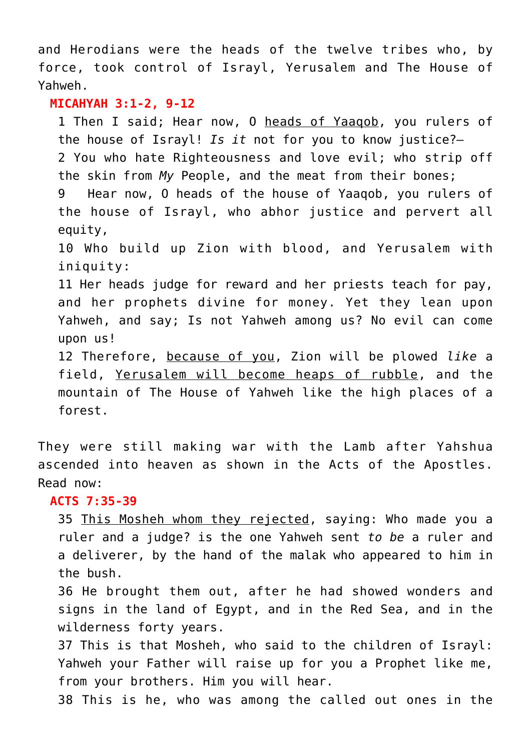and Herodians were the heads of the twelve tribes who, by force, took control of Israyl, Yerusalem and The House of Yahweh.

#### **MICAHYAH 3:1-2, 9-12**

1 Then I said; Hear now, O heads of Yaaqob, you rulers of the house of Israyl! *Is it* not for you to know justice?— 2 You who hate Righteousness and love evil; who strip off the skin from *My* People, and the meat from their bones; 9 Hear now, O heads of the house of Yaaqob, you rulers of the house of Israyl, who abhor justice and pervert all equity, 10 Who build up Zion with blood, and Yerusalem with iniquity: 11 Her heads judge for reward and her priests teach for pay, and her prophets divine for money. Yet they lean upon Yahweh, and say; Is not Yahweh among us? No evil can come upon us! 12 Therefore, because of you, Zion will be plowed *like* a field, Yerusalem will become heaps of rubble, and the mountain of The House of Yahweh like the high places of a

forest.

They were still making war with the Lamb after Yahshua ascended into heaven as shown in the Acts of the Apostles. Read now:

# **ACTS 7:35-39**

35 This Mosheh whom they rejected, saying: Who made you a ruler and a judge? is the one Yahweh sent *to be* a ruler and a deliverer, by the hand of the malak who appeared to him in the bush.

36 He brought them out, after he had showed wonders and signs in the land of Egypt, and in the Red Sea, and in the wilderness forty years.

37 This is that Mosheh, who said to the children of Israyl: Yahweh your Father will raise up for you a Prophet like me, from your brothers. Him you will hear.

38 This is he, who was among the called out ones in the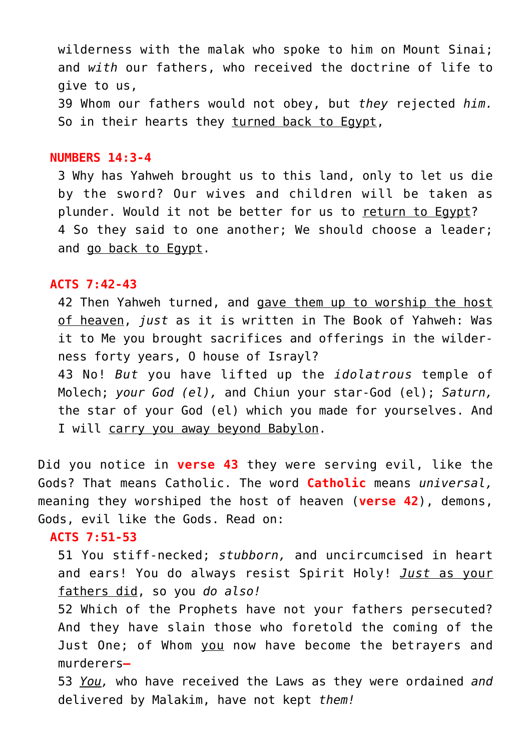wilderness with the malak who spoke to him on Mount Sinai; and *with* our fathers, who received the doctrine of life to give to us, 39 Whom our fathers would not obey, but *they* rejected *him.* So in their hearts they turned back to Egypt,

#### **NUMBERS 14:3-4**

3 Why has Yahweh brought us to this land, only to let us die by the sword? Our wives and children will be taken as plunder. Would it not be better for us to return to Egypt? 4 So they said to one another; We should choose a leader; and go back to Egypt.

#### **ACTS 7:42-43**

42 Then Yahweh turned, and gave them up to worship the host of heaven, *just* as it is written in The Book of Yahweh: Was it to Me you brought sacrifices and offerings in the wilderness forty years, O house of Israyl? 43 No! *But* you have lifted up the *idolatrous* temple of

Molech; *your God (el),* and Chiun your star-God (el); *Saturn,* the star of your God (el) which you made for yourselves. And I will carry you away beyond Babylon.

Did you notice in **verse 43** they were serving evil, like the Gods? That means Catholic. The word **Catholic** means *universal,* meaning they worshiped the host of heaven (**verse 42**), demons, Gods, evil like the Gods. Read on:

# **ACTS 7:51-53**

51 You stiff-necked; *stubborn,* and uncircumcised in heart and ears! You do always resist Spirit Holy! *Just* as your fathers did, so you *do also!*

52 Which of the Prophets have not your fathers persecuted? And they have slain those who foretold the coming of the Just One; of Whom you now have become the betrayers and murderers**—**

53 *You,* who have received the Laws as they were ordained *and* delivered by Malakim, have not kept *them!*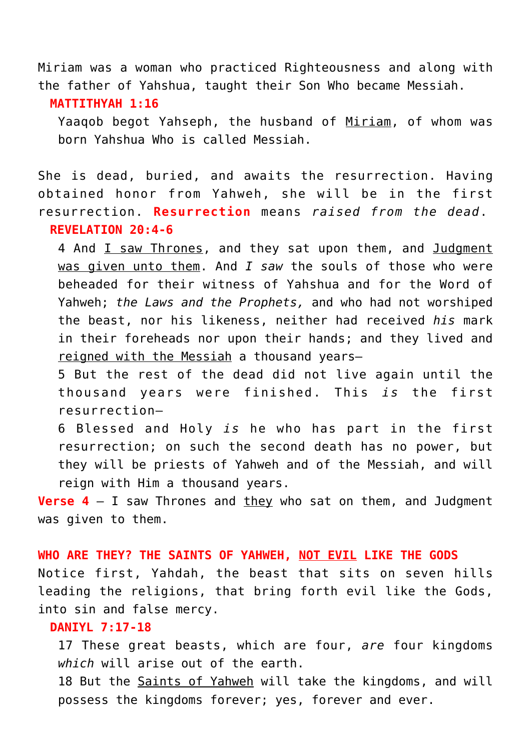Miriam was a woman who practiced Righteousness and along with the father of Yahshua, taught their Son Who became Messiah.

#### **MATTITHYAH 1:16**

Yaaqob begot Yahseph, the husband of Miriam, of whom was born Yahshua Who is called Messiah.

She is dead, buried, and awaits the resurrection. Having obtained honor from Yahweh, she will be in the first resurrection. **Resurrection** means *raised from the dead*. **REVELATION 20:4-6**

4 And I saw Thrones, and they sat upon them, and Judgment was given unto them. And *I saw* the souls of those who were beheaded for their witness of Yahshua and for the Word of Yahweh; *the Laws and the Prophets,* and who had not worshiped the beast, nor his likeness, neither had received *his* mark in their foreheads nor upon their hands; and they lived and reigned with the Messiah a thousand years—

5 But the rest of the dead did not live again until the thousand years were finished. This *is* the first resurrection—

6 Blessed and Holy *is* he who has part in the first resurrection; on such the second death has no power, but they will be priests of Yahweh and of the Messiah, and will reign with Him a thousand years.

**Verse 4** – I saw Thrones and they who sat on them, and Judgment was given to them.

# **WHO ARE THEY? THE SAINTS OF YAHWEH, NOT EVIL LIKE THE GODS**

Notice first, Yahdah, the beast that sits on seven hills leading the religions, that bring forth evil like the Gods, into sin and false mercy.

# **DANIYL 7:17-18**

17 These great beasts, which are four, *are* four kingdoms *which* will arise out of the earth.

18 But the Saints of Yahweh will take the kingdoms, and will possess the kingdoms forever; yes, forever and ever.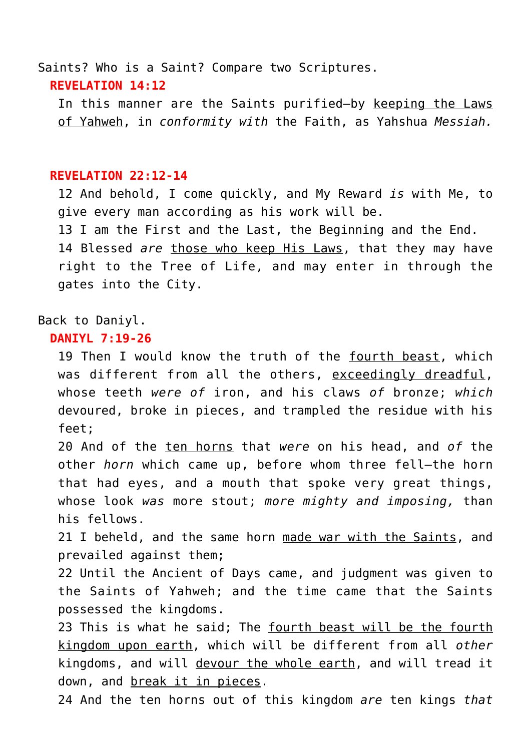Saints? Who is a Saint? Compare two Scriptures. **REVELATION 14:12**

In this manner are the Saints purified—by keeping the Laws of Yahweh, in *conformity with* the Faith, as Yahshua *Messiah.*

#### **REVELATION 22:12-14**

12 And behold, I come quickly, and My Reward *is* with Me, to give every man according as his work will be. 13 I am the First and the Last, the Beginning and the End. 14 Blessed *are* those who keep His Laws, that they may have right to the Tree of Life, and may enter in through the gates into the City.

## Back to Daniyl.

## **DANIYL 7:19-26**

19 Then I would know the truth of the fourth beast, which was different from all the others, exceedingly dreadful, whose teeth *were of* iron, and his claws *of* bronze; *which* devoured, broke in pieces, and trampled the residue with his feet;

20 And of the ten horns that *were* on his head, and *of* the other *horn* which came up, before whom three fell—the horn that had eyes, and a mouth that spoke very great things, whose look *was* more stout; *more mighty and imposing,* than his fellows.

21 I beheld, and the same horn made war with the Saints, and prevailed against them;

22 Until the Ancient of Days came, and judgment was given to the Saints of Yahweh; and the time came that the Saints possessed the kingdoms.

23 This is what he said; The fourth beast will be the fourth kingdom upon earth, which will be different from all *other* kingdoms, and will devour the whole earth, and will tread it down, and break it in pieces.

24 And the ten horns out of this kingdom *are* ten kings *that*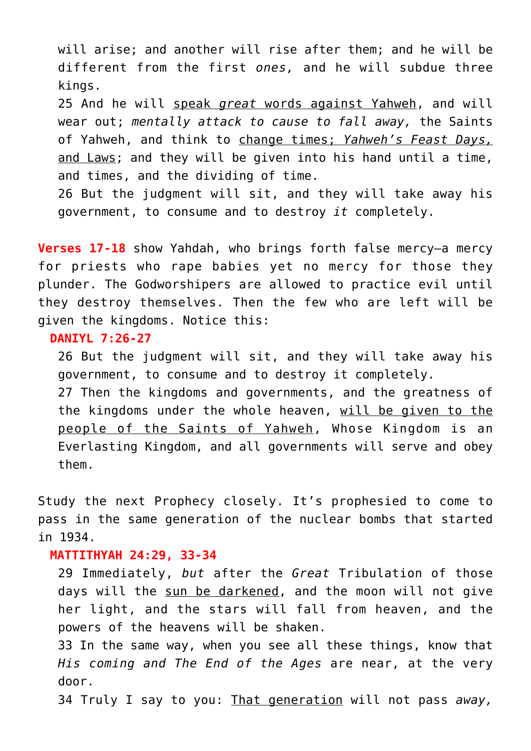will arise; and another will rise after them; and he will be different from the first *ones,* and he will subdue three kings.

25 And he will speak *great* words against Yahweh, and will wear out; *mentally attack to cause to fall away,* the Saints of Yahweh, and think to change times; *Yahweh's Feast Days,* and Laws; and they will be given into his hand until a time, and times, and the dividing of time.

26 But the judgment will sit, and they will take away his government, to consume and to destroy *it* completely.

**Verses 17-18** show Yahdah, who brings forth false mercy—a mercy for priests who rape babies yet no mercy for those they plunder. The Godworshipers are allowed to practice evil until they destroy themselves. Then the few who are left will be given the kingdoms. Notice this:

## **DANIYL 7:26-27**

26 But the judgment will sit, and they will take away his government, to consume and to destroy it completely. 27 Then the kingdoms and governments, and the greatness of the kingdoms under the whole heaven, will be given to the

people of the Saints of Yahweh, Whose Kingdom is an Everlasting Kingdom, and all governments will serve and obey them.

Study the next Prophecy closely. It's prophesied to come to pass in the same generation of the nuclear bombs that started in 1934.

# **MATTITHYAH 24:29, 33-34**

29 Immediately, *but* after the *Great* Tribulation of those days will the sun be darkened, and the moon will not give her light, and the stars will fall from heaven, and the powers of the heavens will be shaken.

33 In the same way, when you see all these things, know that *His coming and The End of the Ages* are near, at the very door.

34 Truly I say to you: That generation will not pass *away,*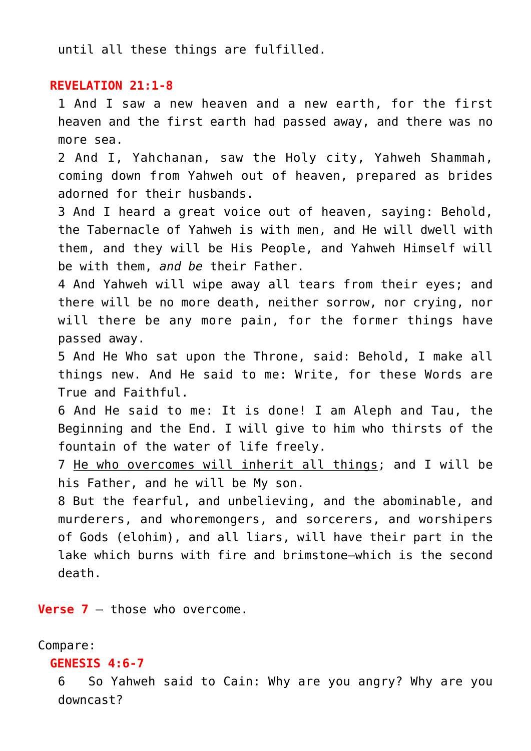until all these things are fulfilled.

# **REVELATION 21:1-8**

1 And I saw a new heaven and a new earth, for the first heaven and the first earth had passed away, and there was no more sea.

2 And I, Yahchanan, saw the Holy city, Yahweh Shammah, coming down from Yahweh out of heaven, prepared as brides adorned for their husbands.

3 And I heard a great voice out of heaven, saying: Behold, the Tabernacle of Yahweh is with men, and He will dwell with them, and they will be His People, and Yahweh Himself will be with them, *and be* their Father.

4 And Yahweh will wipe away all tears from their eyes; and there will be no more death, neither sorrow, nor crying, nor will there be any more pain, for the former things have passed away.

5 And He Who sat upon the Throne, said: Behold, I make all things new. And He said to me: Write, for these Words are True and Faithful.

6 And He said to me: It is done! I am Aleph and Tau, the Beginning and the End. I will give to him who thirsts of the fountain of the water of life freely.

7 He who overcomes will inherit all things; and I will be his Father, and he will be My son.

8 But the fearful, and unbelieving, and the abominable, and murderers, and whoremongers, and sorcerers, and worshipers of Gods (elohim), and all liars, will have their part in the lake which burns with fire and brimstone—which is the second death.

**Verse 7** – those who overcome.

## Compare:

# **GENESIS 4:6-7**

6 So Yahweh said to Cain: Why are you angry? Why are you downcast?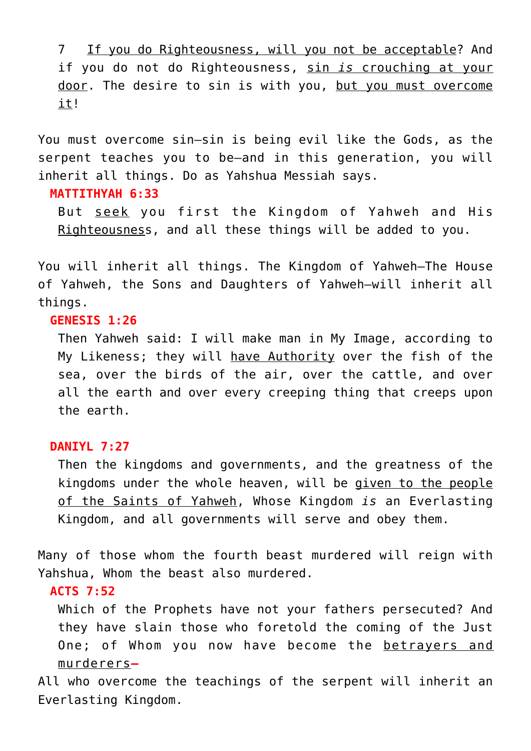7 If you do Righteousness, will you not be acceptable? And if you do not do Righteousness, sin *is* crouching at your door. The desire to sin is with you, but you must overcome it!

You must overcome sin—sin is being evil like the Gods, as the serpent teaches you to be—and in this generation, you will inherit all things. Do as Yahshua Messiah says.

#### **MATTITHYAH 6:33**

But seek you first the Kingdom of Yahweh and His Righteousness, and all these things will be added to you.

You will inherit all things. The Kingdom of Yahweh–The House of Yahweh, the Sons and Daughters of Yahweh–will inherit all things.

# **GENESIS 1:26**

Then Yahweh said: I will make man in My Image, according to My Likeness; they will have Authority over the fish of the sea, over the birds of the air, over the cattle, and over all the earth and over every creeping thing that creeps upon the earth.

# **DANIYL 7:27**

Then the kingdoms and governments, and the greatness of the kingdoms under the whole heaven, will be given to the people of the Saints of Yahweh, Whose Kingdom *is* an Everlasting Kingdom, and all governments will serve and obey them.

Many of those whom the fourth beast murdered will reign with Yahshua, Whom the beast also murdered.

# **ACTS 7:52**

Which of the Prophets have not your fathers persecuted? And they have slain those who foretold the coming of the Just One; of Whom you now have become the betrayers and murderers**—**

All who overcome the teachings of the serpent will inherit an Everlasting Kingdom.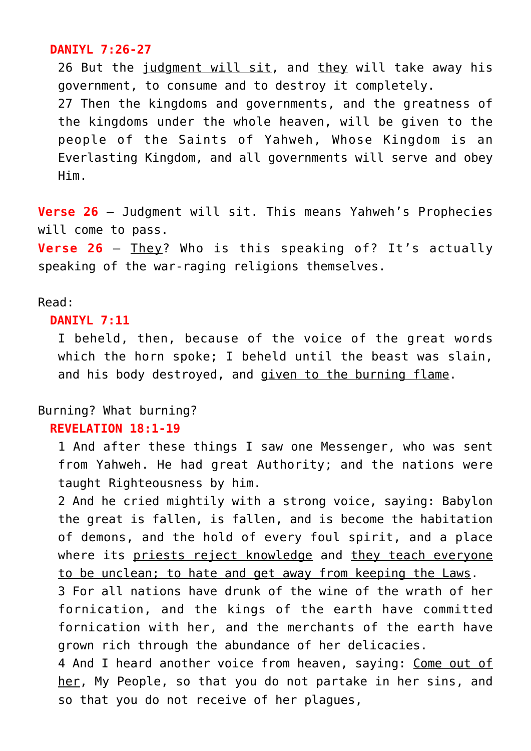# **DANIYL 7:26-27**

26 But the judgment will sit, and they will take away his government, to consume and to destroy it completely. 27 Then the kingdoms and governments, and the greatness of the kingdoms under the whole heaven, will be given to the people of the Saints of Yahweh, Whose Kingdom is an Everlasting Kingdom, and all governments will serve and obey Him.

**Verse 26** – Judgment will sit. This means Yahweh's Prophecies will come to pass.

**Verse 26** – They? Who is this speaking of? It's actually speaking of the war-raging religions themselves.

# Read:

## **DANIYL 7:11**

I beheld, then, because of the voice of the great words which the horn spoke; I beheld until the beast was slain, and his body destroyed, and given to the burning flame.

# Burning? What burning?

# **REVELATION 18:1-19**

1 And after these things I saw one Messenger, who was sent from Yahweh. He had great Authority; and the nations were taught Righteousness by him.

2 And he cried mightily with a strong voice, saying: Babylon the great is fallen, is fallen, and is become the habitation of demons, and the hold of every foul spirit, and a place where its priests reject knowledge and they teach everyone to be unclean; to hate and get away from keeping the Laws.

3 For all nations have drunk of the wine of the wrath of her fornication, and the kings of the earth have committed fornication with her, and the merchants of the earth have grown rich through the abundance of her delicacies.

4 And I heard another voice from heaven, saying: Come out of her, My People, so that you do not partake in her sins, and so that you do not receive of her plagues,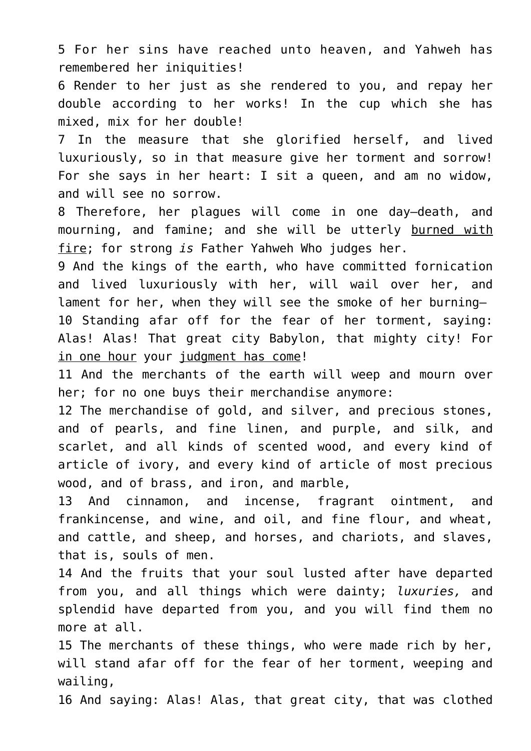5 For her sins have reached unto heaven, and Yahweh has remembered her iniquities!

6 Render to her just as she rendered to you, and repay her double according to her works! In the cup which she has mixed, mix for her double!

7 In the measure that she glorified herself, and lived luxuriously, so in that measure give her torment and sorrow! For she says in her heart: I sit a queen, and am no widow, and will see no sorrow.

8 Therefore, her plagues will come in one day—death, and mourning, and famine; and she will be utterly burned with fire; for strong *is* Father Yahweh Who judges her.

9 And the kings of the earth, who have committed fornication and lived luxuriously with her, will wail over her, and lament for her, when they will see the smoke of her burning— 10 Standing afar off for the fear of her torment, saying: Alas! Alas! That great city Babylon, that mighty city! For in one hour your judgment has come!

11 And the merchants of the earth will weep and mourn over her; for no one buys their merchandise anymore:

12 The merchandise of gold, and silver, and precious stones, and of pearls, and fine linen, and purple, and silk, and scarlet, and all kinds of scented wood, and every kind of article of ivory, and every kind of article of most precious wood, and of brass, and iron, and marble,

13 And cinnamon, and incense, fragrant ointment, and frankincense, and wine, and oil, and fine flour, and wheat, and cattle, and sheep, and horses, and chariots, and slaves, that is, souls of men.

14 And the fruits that your soul lusted after have departed from you, and all things which were dainty; *luxuries,* and splendid have departed from you, and you will find them no more at all.

15 The merchants of these things, who were made rich by her, will stand afar off for the fear of her torment, weeping and wailing,

16 And saying: Alas! Alas, that great city, that was clothed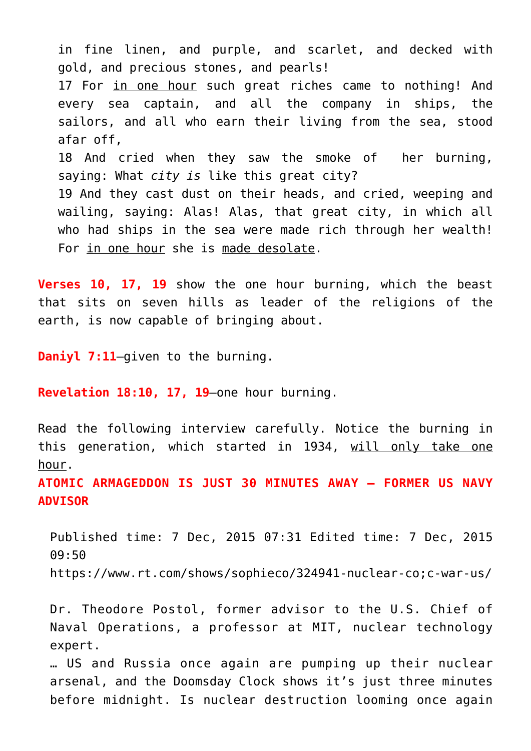in fine linen, and purple, and scarlet, and decked with gold, and precious stones, and pearls! 17 For in one hour such great riches came to nothing! And every sea captain, and all the company in ships, the sailors, and all who earn their living from the sea, stood afar off, 18 And cried when they saw the smoke of her burning, saying: What *city is* like this great city? 19 And they cast dust on their heads, and cried, weeping and wailing, saying: Alas! Alas, that great city, in which all who had ships in the sea were made rich through her wealth! For in one hour she is made desolate.

**Verses 10, 17, 19** show the one hour burning, which the beast that sits on seven hills as leader of the religions of the earth, is now capable of bringing about.

**Daniyl 7:11**–given to the burning.

**Revelation 18:10, 17, 19**–one hour burning.

Read the following interview carefully. Notice the burning in this generation, which started in 1934, will only take one hour.

**ATOMIC ARMAGEDDON IS JUST 30 MINUTES AWAY – FORMER US NAVY ADVISOR**

Published time: 7 Dec, 2015 07:31 Edited time: 7 Dec, 2015 09:50 https://www.rt.com/shows/sophieco/324941-nuclear-co;c-war-us/

Dr. Theodore Postol, former advisor to the U.S. Chief of Naval Operations, a professor at MIT, nuclear technology expert.

… US and Russia once again are pumping up their nuclear arsenal, and the Doomsday Clock shows it's just three minutes before midnight. Is nuclear destruction looming once again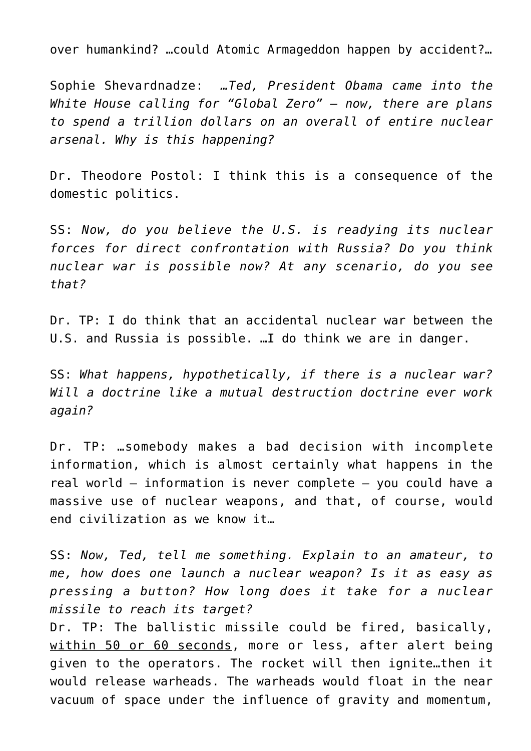over humankind? …could Atomic Armageddon happen by accident?…

Sophie Shevardnadze: *…Ted, President Obama came into the White House calling for "Global Zero" – now, there are plans to spend a trillion dollars on an overall of entire nuclear arsenal. Why is this happening?*

Dr. Theodore Postol: I think this is a consequence of the domestic politics.

SS: *Now, do you believe the U.S. is readying its nuclear forces for direct confrontation with Russia? Do you think nuclear war is possible now? At any scenario, do you see that?*

Dr. TP: I do think that an accidental nuclear war between the U.S. and Russia is possible. …I do think we are in danger.

SS: *What happens, hypothetically, if there is a nuclear war? Will a doctrine like a mutual destruction doctrine ever work again?*

Dr. TP: …somebody makes a bad decision with incomplete information, which is almost certainly what happens in the real world – information is never complete – you could have a massive use of nuclear weapons, and that, of course, would end civilization as we know it…

SS: *Now, Ted, tell me something. Explain to an amateur, to me, how does one launch a nuclear weapon? Is it as easy as pressing a button? How long does it take for a nuclear missile to reach its target?*

Dr. TP: The ballistic missile could be fired, basically, within 50 or 60 seconds, more or less, after alert being given to the operators. The rocket will then ignite…then it would release warheads. The warheads would float in the near vacuum of space under the influence of gravity and momentum,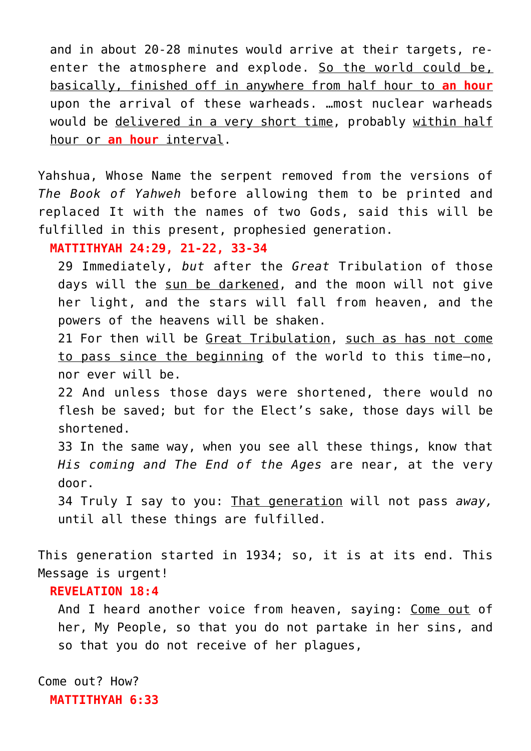and in about 20-28 minutes would arrive at their targets, reenter the atmosphere and explode. So the world could be, basically, finished off in anywhere from half hour to **an hour** upon the arrival of these warheads. …most nuclear warheads would be delivered in a very short time, probably within half hour or **an hour** interval.

Yahshua, Whose Name the serpent removed from the versions of *The Book of Yahweh* before allowing them to be printed and replaced It with the names of two Gods, said this will be fulfilled in this present, prophesied generation.

#### **MATTITHYAH 24:29, 21-22, 33-34**

29 Immediately, *but* after the *Great* Tribulation of those days will the sun be darkened, and the moon will not give her light, and the stars will fall from heaven, and the powers of the heavens will be shaken.

21 For then will be Great Tribulation, such as has not come to pass since the beginning of the world to this time—no, nor ever will be.

22 And unless those days were shortened, there would no flesh be saved; but for the Elect's sake, those days will be shortened.

33 In the same way, when you see all these things, know that *His coming and The End of the Ages* are near, at the very door.

34 Truly I say to you: That generation will not pass *away,* until all these things are fulfilled.

This generation started in 1934; so, it is at its end. This Message is urgent!

## **REVELATION 18:4**

And I heard another voice from heaven, saying: Come out of her, My People, so that you do not partake in her sins, and so that you do not receive of her plagues,

Come out? How? **MATTITHYAH 6:33**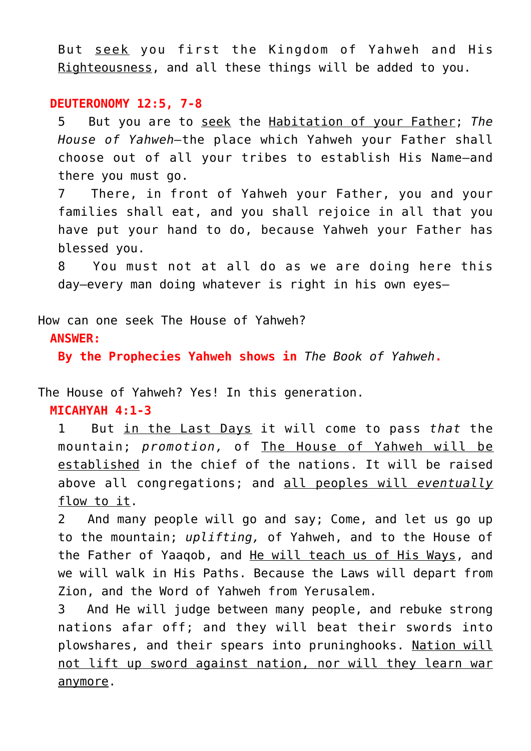But seek you first the Kingdom of Yahweh and His Righteousness, and all these things will be added to you.

#### **DEUTERONOMY 12:5, 7-8**

5 But you are to seek the Habitation of your Father; *The House of Yahweh—*the place which Yahweh your Father shall choose out of all your tribes to establish His Name—and there you must go.

7 There, in front of Yahweh your Father, you and your families shall eat, and you shall rejoice in all that you have put your hand to do, because Yahweh your Father has blessed you.

8 You must not at all do as we are doing here this day—every man doing whatever is right in his own eyes—

How can one seek The House of Yahweh?

**ANSWER:**

**By the Prophecies Yahweh shows in** *The Book of Yahweh***.**

The House of Yahweh? Yes! In this generation.

**MICAHYAH 4:1-3**

1 But in the Last Days it will come to pass *that* the mountain; *promotion,* of The House of Yahweh will be established in the chief of the nations. It will be raised above all congregations; and all peoples will *eventually* flow to it.

2 And many people will go and say; Come, and let us go up to the mountain; *uplifting,* of Yahweh, and to the House of the Father of Yaaqob, and He will teach us of His Ways, and we will walk in His Paths. Because the Laws will depart from Zion, and the Word of Yahweh from Yerusalem.

3 And He will judge between many people, and rebuke strong nations afar off; and they will beat their swords into plowshares, and their spears into pruninghooks. Nation will not lift up sword against nation, nor will they learn war anymore.